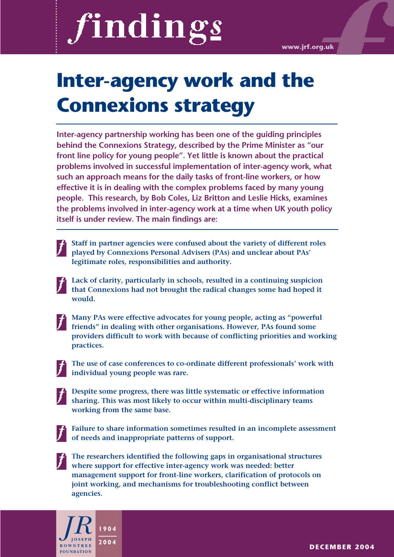# findings

**www.jrf.org.uk**

# **Inter-agency work and the Connexions strategy**

**Inter-agency partnership working has been one of the guiding principles behind the Connexions Strategy, described by the Prime Minister as "our front line policy for young people". Yet little is known about the practical problems involved in successful implementation of inter-agency work, what such an approach means for the daily tasks of front-line workers, or how effective it is in dealing with the complex problems faced by many young people. This research, by Bob Coles, Liz Britton and Leslie Hicks, examines the problems involved in inter-agency work at a time when UK youth policy itself is under review. The main findings are:**

- **Staff in partner agencies were confused about the variety of different roles played by Connexions Personal Advisers (PAs) and unclear about PAs' legitimate roles, responsibilities and authority.**
- **Lack of clarity, particularly in schools, resulted in a continuing suspicion that Connexions had not brought the radical changes some had hoped it would.**
- **Many PAs were effective advocates for young people, acting as "powerful friends" in dealing with other organisations. However, PAs found some providers difficult to work with because of conflicting priorities and working practices.** 
	- **The use of case conferences to co-ordinate different professionals' work with individual young people was rare.**
	- **Despite some progress, there was little systematic or effective information sharing. This was most likely to occur within multi-disciplinary teams working from the same base.**
- 

**Failure to share information sometimes resulted in an incomplete assessment of needs and inappropriate patterns of support.** 

**The researchers identified the following gaps in organisational structures where support for effective inter-agency work was needed: better management support for front-line workers, clarification of protocols on joint working, and mechanisms for troubleshooting conflict between agencies.**

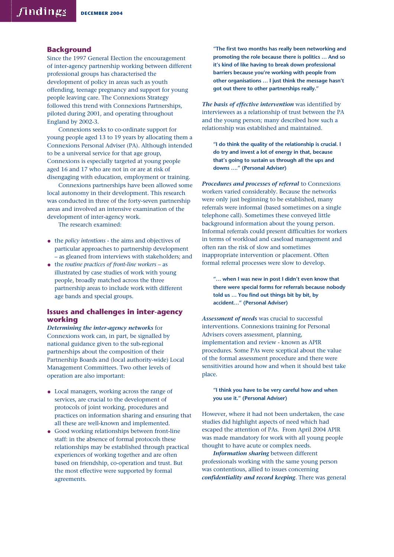#### **Background**

Since the 1997 General Election the encouragement of inter-agency partnership working between different professional groups has characterised the development of policy in areas such as youth offending, teenage pregnancy and support for young people leaving care. The Connexions Strategy followed this trend with Connexions Partnerships, piloted during 2001, and operating throughout England by 2002-3.

Connexions seeks to co-ordinate support for young people aged 13 to 19 years by allocating them a Connexions Personal Adviser (PA). Although intended to be a universal service for that age group, Connexions is especially targeted at young people aged 16 and 17 who are not in or are at risk of disengaging with education, employment or training.

Connexions partnerships have been allowed some local autonomy in their development. This research was conducted in three of the forty-seven partnership areas and involved an intensive examination of the development of inter-agency work.

The research examined:

- the *policy intentions* the aims and objectives of particular approaches to partnership development – as gleaned from interviews with stakeholders; and
- the *routine practices of front-line workers* as illustrated by case studies of work with young people, broadly matched across the three partnership areas to include work with different age bands and special groups.

# **Issues and challenges in inter-agency working**

*Determining the inter-agency networks* for Connexions work can, in part, be signalled by national guidance given to the sub-regional partnerships about the composition of their Partnership Boards and (local authority-wide) Local Management Committees. Two other levels of operation are also important:

- Local managers, working across the range of services, are crucial to the development of protocols of joint working, procedures and practices on information sharing and ensuring that all these are well-known and implemented.
- Good working relationships between front-line staff: in the absence of formal protocols these relationships may be established through practical experiences of working together and are often based on friendship, co-operation and trust. But the most effective were supported by formal agreements.

**"The first two months has really been networking and promoting the role because there is politics … And so it's kind of like having to break down professional barriers because you're working with people from other organisations … I just think the message hasn't got out there to other partnerships really."** 

*The basis of effective intervention* was identified by interviewees as a relationship of trust between the PA and the young person; many described how such a relationship was established and maintained.

**"I do think the quality of the relationship is crucial. I do try and invest a lot of energy in that, because that's going to sustain us through all the ups and downs …." (Personal Adviser)**

*Procedures and processes of referral* to Connexions workers varied considerably. Because the networks were only just beginning to be established, many referrals were informal (based sometimes on a single telephone call). Sometimes these conveyed little background information about the young person. Informal referrals could present difficulties for workers in terms of workload and caseload management and often ran the risk of slow and sometimes inappropriate intervention or placement. Often formal referral processes were slow to develop.

**"… when I was new in post I didn't even know that there were special forms for referrals because nobody told us … You find out things bit by bit, by accident…" (Personal Adviser)**

*Assessment of needs* was crucial to successful interventions. Connexions training for Personal Advisers covers assessment, planning, implementation and review - known as APIR procedures. Some PAs were sceptical about the value of the formal assessment procedure and there were sensitivities around how and when it should best take place.

#### **"I think you have to be very careful how and when you use it." (Personal Adviser)**

However, where it had not been undertaken, the case studies did highlight aspects of need which had escaped the attention of PAs. From April 2004 APIR was made mandatory for work with all young people thought to have acute or complex needs.

*Information sharing* between different professionals working with the same young person was contentious, allied to issues concerning *confidentiality and record keeping*. There was general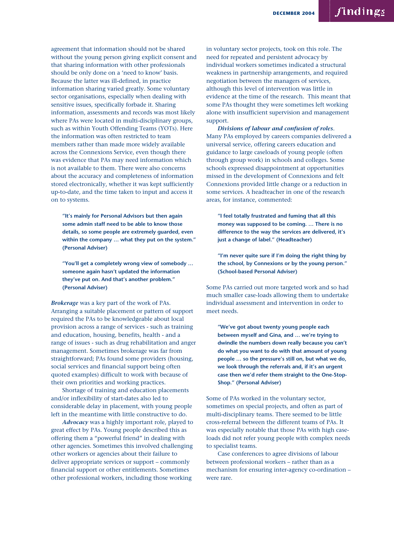agreement that information should not be shared without the young person giving explicit consent and that sharing information with other professionals should be only done on a 'need to know' basis. Because the latter was ill-defined, in practice information sharing varied greatly. Some voluntary sector organisations, especially when dealing with sensitive issues, specifically forbade it. Sharing information, assessments and records was most likely where PAs were located in multi-disciplinary groups, such as within Youth Offending Teams (YOTs). Here the information was often restricted to team members rather than made more widely available across the Connexions Service, even though there was evidence that PAs may need information which is not available to them. There were also concerns about the accuracy and completeness of information stored electronically, whether it was kept sufficiently up-to-date, and the time taken to input and access it on to systems.

**"It's mainly for Personal Advisors but then again some admin staff need to be able to know those details, so some people are extremely guarded, even within the company … what they put on the system." (Personal Adviser)**

**"You'll get a completely wrong view of somebody … someone again hasn't updated the information they've put on. And that's another problem." (Personal Adviser)**

*Brokerage* was a key part of the work of PAs. Arranging a suitable placement or pattern of support required the PAs to be knowledgeable about local provision across a range of services - such as training and education, housing, benefits, health - and a range of issues - such as drug rehabilitation and anger management. Sometimes brokerage was far from straightforward; PAs found some providers (housing, social services and financial support being often quoted examples) difficult to work with because of their own priorities and working practices.

Shortage of training and education placements and/or inflexibility of start-dates also led to considerable delay in placement, with young people left in the meantime with little constructive to do.

*Advocacy* was a highly important role, played to great effect by PAs. Young people described this as offering them a "powerful friend" in dealing with other agencies. Sometimes this involved challenging other workers or agencies about their failure to deliver appropriate services or support – commonly financial support or other entitlements. Sometimes other professional workers, including those working

in voluntary sector projects, took on this role. The need for repeated and persistent advocacy by individual workers sometimes indicated a structural weakness in partnership arrangements, and required negotiation between the managers of services, although this level of intervention was little in evidence at the time of the research. This meant that some PAs thought they were sometimes left working alone with insufficient supervision and management support.

*Divisions of labour and confusion of roles*. Many PAs employed by careers companies delivered a universal service, offering careers education and guidance to large caseloads of young people (often through group work) in schools and colleges. Some schools expressed disappointment at opportunities missed in the development of Connexions and felt Connexions provided little change or a reduction in some services. A headteacher in one of the research areas, for instance, commented:

**"I feel totally frustrated and fuming that all this money was supposed to be coming. … There is no difference to the way the services are delivered, it's just a change of label." (Headteacher)** 

**"I'm never quite sure if I'm doing the right thing by the school, by Connexions or by the young person." (School-based Personal Adviser)**

Some PAs carried out more targeted work and so had much smaller case-loads allowing them to undertake individual assessment and intervention in order to meet needs.

**"We've got about twenty young people each between myself and Gina, and … we're trying to dwindle the numbers down really because you can't do what you want to do with that amount of young people … so the pressure's still on, but what we do, we look through the referrals and, if it's an urgent case then we'd refer them straight to the One-Stop-Shop." (Personal Adviser)**

Some of PAs worked in the voluntary sector, sometimes on special projects, and often as part of multi-disciplinary teams. There seemed to be little cross-referral between the different teams of PAs. It was especially notable that those PAs with high caseloads did not refer young people with complex needs to specialist teams.

Case conferences to agree divisions of labour between professional workers – rather than as a mechanism for ensuring inter-agency co-ordination – were rare.